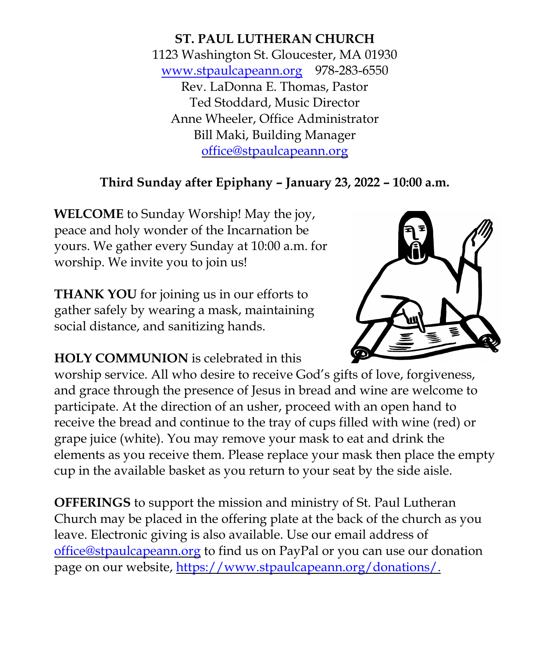**ST. PAUL LUTHERAN CHURCH** 1123 Washington St. Gloucester, MA 01930 [www.stpaulcapeann.org](http://www.stpaulcapeann.org/) 978-283-6550 Rev. LaDonna E. Thomas, Pastor Ted Stoddard, Music Director Anne Wheeler, Office Administrator Bill Maki, Building Manager [office@stpaulcapeann.org](mailto:office@stpaulcapeann.org)

# **Third Sunday after Epiphany – January 23, 2022 – 10:00 a.m.**

**WELCOME** to Sunday Worship! May the joy, peace and holy wonder of the Incarnation be yours. We gather every Sunday at 10:00 a.m. for worship. We invite you to join us!

**THANK YOU** for joining us in our efforts to gather safely by wearing a mask, maintaining social distance, and sanitizing hands.

**HOLY COMMUNION** is celebrated in this

worship service. All who desire to receive God's gifts of love, forgiveness, and grace through the presence of Jesus in bread and wine are welcome to participate. At the direction of an usher, proceed with an open hand to receive the bread and continue to the tray of cups filled with wine (red) or grape juice (white). You may remove your mask to eat and drink the elements as you receive them. Please replace your mask then place the empty cup in the available basket as you return to your seat by the side aisle.

**OFFERINGS** to support the mission and ministry of St. Paul Lutheran Church may be placed in the offering plate at the back of the church as you leave. Electronic giving is also available. Use our email address of [office@stpaulcapeann.org](mailto:office@stpaulcapeann.org) to find us on PayPal or you can use our donation page on our website, [https://www.stpaulcapeann.org/donations/.](https://www.stpaulcapeann.org/donations/)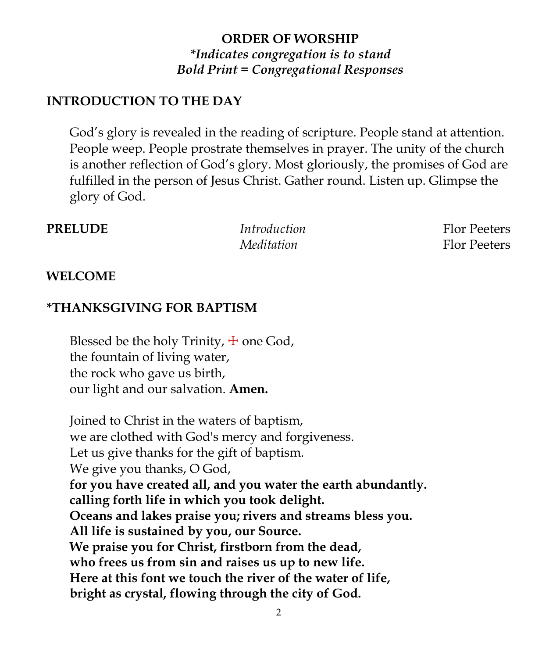## **ORDER OF WORSHIP** *\*Indicates congregation is to stand Bold Print = Congregational Responses*

### **INTRODUCTION TO THE DAY**

God's glory is revealed in the reading of scripture. People stand at attention. People weep. People prostrate themselves in prayer. The unity of the church is another reflection of God's glory. Most gloriously, the promises of God are fulfilled in the person of Jesus Christ. Gather round. Listen up. Glimpse the glory of God.

**PRELUDE** *Introduction* Flor Peeters

*Meditation* Flor Peeters

#### **WELCOME**

### **\*THANKSGIVING FOR BAPTISM**

Blessed be the holy Trinity,  $\pm$  one God, the fountain of living water, the rock who gave us birth, our light and our salvation. **Amen.**

Joined to Christ in the waters of baptism, we are clothed with God's mercy and forgiveness. Let us give thanks for the gift of baptism. We give you thanks, O God, **for you have created all, and you water the earth abundantly. calling forth life in which you took delight. Oceans and lakes praise you; rivers and streams bless you. All life is sustained by you, our Source. We praise you for Christ, firstborn from the dead, who frees us from sin and raises us up to new life. Here at this font we touch the river of the water of life, bright as crystal, flowing through the city of God.**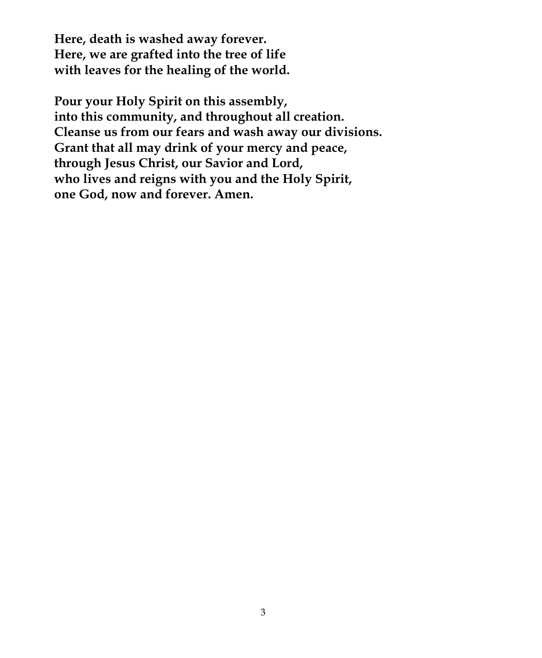**Here, death is washed away forever. Here, we are grafted into the tree of life with leaves for the healing of the world.**

**Pour your Holy Spirit on this assembly, into this community, and throughout all creation. Cleanse us from our fears and wash away our divisions. Grant that all may drink of your mercy and peace, through Jesus Christ, our Savior and Lord, who lives and reigns with you and the Holy Spirit, one God, now and forever. Amen.**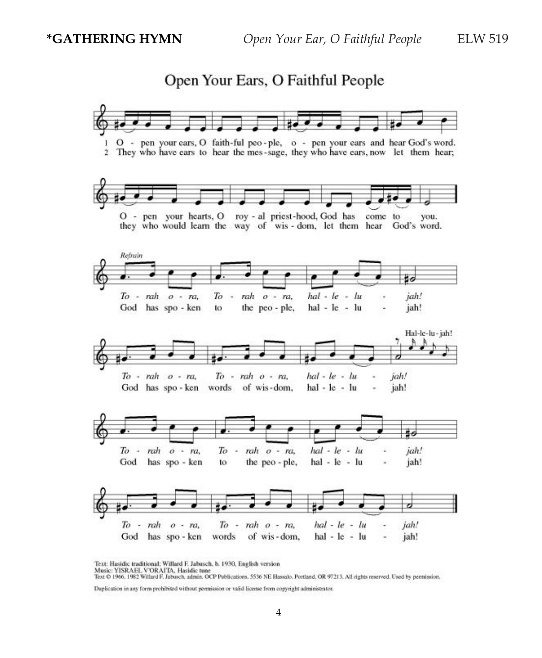Open Your Ears, O Faithful People



Text: Hasidic traditional; Willard F. Jabusch, b. 1930, English version

Music: YISRAEL VORAITA, Hasidic tune<br>Text © 1966, 1982 Willard F. Jabusch, admin. OCP Publications. 5536 NE Hassalo. Portland, OR 97213. All rights reserved. Used by permission.

Duplication in any form prohibited without permission or valid license from copyright administrator.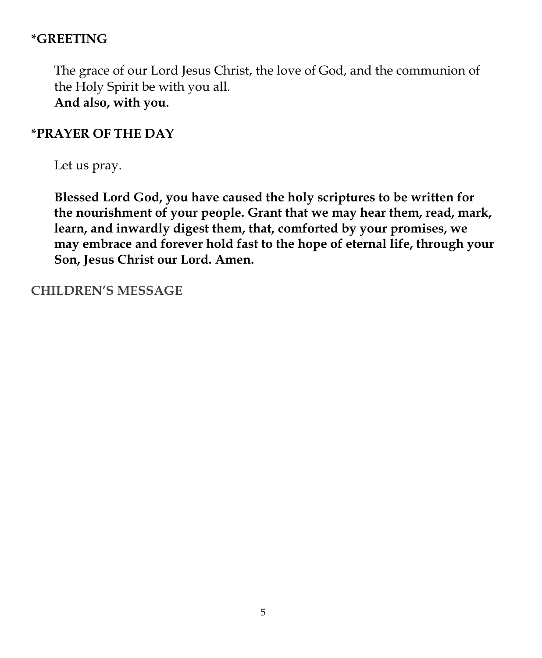## **\*GREETING**

The grace of our Lord Jesus Christ, the love of God, and the communion of the Holy Spirit be with you all. **And also, with you.**

#### **\*PRAYER OF THE DAY**

Let us pray.

**Blessed Lord God, you have caused the holy scriptures to be written for the nourishment of your people. Grant that we may hear them, read, mark, learn, and inwardly digest them, that, comforted by your promises, we may embrace and forever hold fast to the hope of eternal life, through your Son, Jesus Christ our Lord. Amen.**

#### **CHILDREN'S MESSAGE**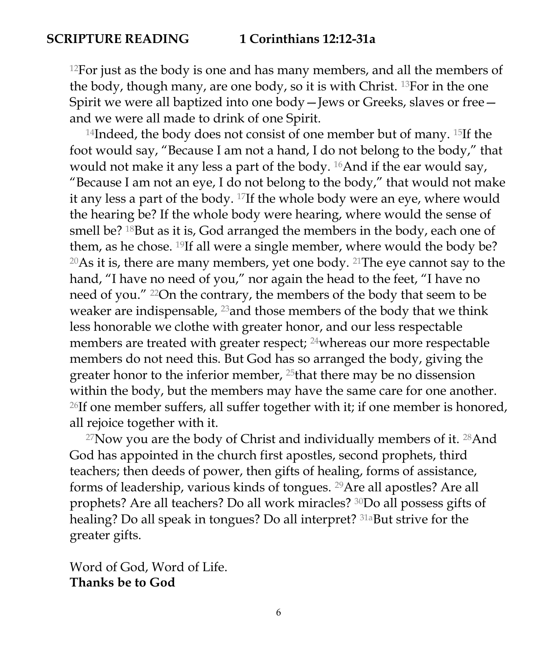### **SCRIPTURE READING 1 Corinthians 12:12-31a**

 $12$ For just as the body is one and has many members, and all the members of the body, though many, are one body, so it is with Christ. 13For in the one Spirit we were all baptized into one body—Jews or Greeks, slaves or free and we were all made to drink of one Spirit.

<sup>14</sup>Indeed, the body does not consist of one member but of many. <sup>15</sup>If the foot would say, "Because I am not a hand, I do not belong to the body," that would not make it any less a part of the body. 16And if the ear would say, "Because I am not an eye, I do not belong to the body," that would not make it any less a part of the body. 17If the whole body were an eye, where would the hearing be? If the whole body were hearing, where would the sense of smell be? <sup>18</sup>But as it is, God arranged the members in the body, each one of them, as he chose. <sup>19</sup>If all were a single member, where would the body be? <sup>20</sup>As it is, there are many members, yet one body. <sup>21</sup>The eye cannot say to the hand, "I have no need of you," nor again the head to the feet, "I have no need of you." 22On the contrary, the members of the body that seem to be weaker are indispensable,  $^{23}$  and those members of the body that we think less honorable we clothe with greater honor, and our less respectable members are treated with greater respect; <sup>24</sup>whereas our more respectable members do not need this. But God has so arranged the body, giving the greater honor to the inferior member, 25that there may be no dissension within the body, but the members may have the same care for one another.  $26$ If one member suffers, all suffer together with it; if one member is honored, all rejoice together with it.

 $27$ Now you are the body of Christ and individually members of it.  $28$ And God has appointed in the church first apostles, second prophets, third teachers; then deeds of power, then gifts of healing, forms of assistance, forms of leadership, various kinds of tongues. 29Are all apostles? Are all prophets? Are all teachers? Do all work miracles? 30Do all possess gifts of healing? Do all speak in tongues? Do all interpret? 31aBut strive for the greater gifts.

Word of God, Word of Life. **Thanks be to God**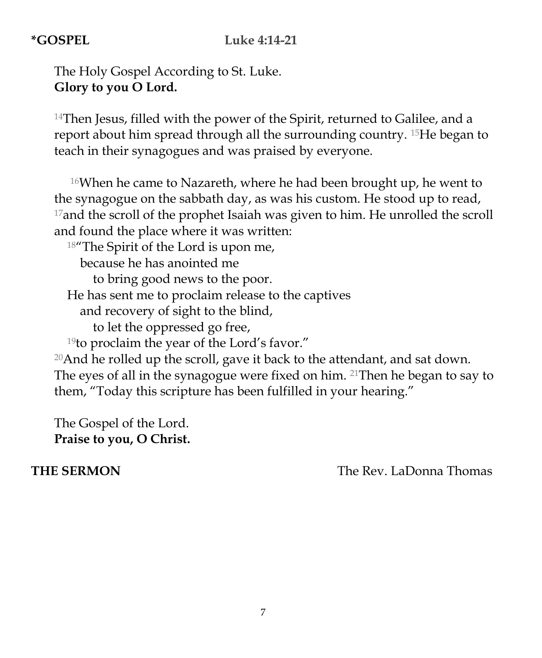### **\*GOSPEL Luke 4:14-21**

The Holy Gospel According to St. Luke. **Glory to you O Lord.** 

 $14$ Then Jesus, filled with the power of the Spirit, returned to Galilee, and a report about him spread through all the surrounding country. 15He began to teach in their synagogues and was praised by everyone.

<sup>16</sup>When he came to Nazareth, where he had been brought up, he went to the synagogue on the sabbath day, as was his custom. He stood up to read,  $17$  and the scroll of the prophet Isaiah was given to him. He unrolled the scroll and found the place where it was written:

<sup>18</sup>"The Spirit of the Lord is upon me, because he has anointed me to bring good news to the poor. He has sent me to proclaim release to the captives and recovery of sight to the blind, to let the oppressed go free,

<sup>19</sup>to proclaim the year of the Lord's favor."  $20$ And he rolled up the scroll, gave it back to the attendant, and sat down. The eyes of all in the synagogue were fixed on him. 21Then he began to say to

them, "Today this scripture has been fulfilled in your hearing."

The Gospel of the Lord. **Praise to you, O Christ.**

**THE SERMON** The Rev. LaDonna Thomas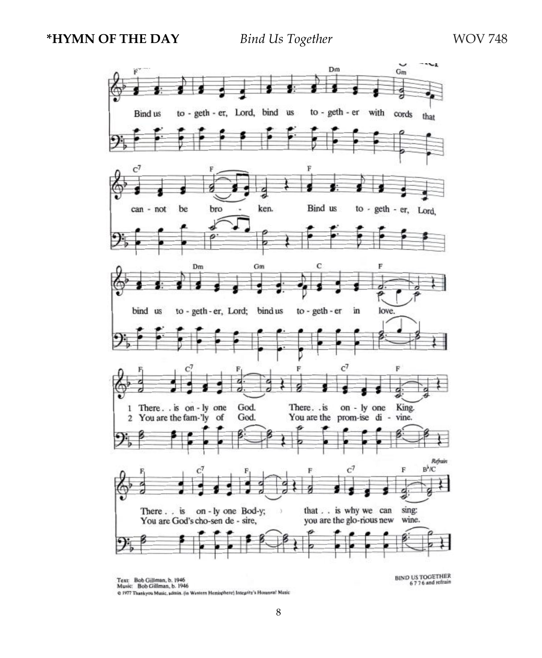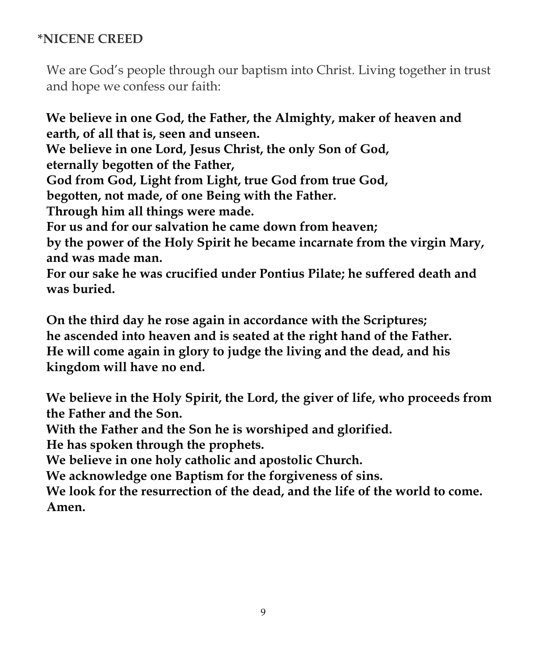## **\*NICENE CREED**

We are God's people through our baptism into Christ. Living together in trust and hope we confess our faith:

**We believe in one God, the Father, the Almighty, maker of heaven and earth, of all that is, seen and unseen. We believe in one Lord, Jesus Christ, the only Son of God, eternally begotten of the Father, God from God, Light from Light, true God from true God, begotten, not made, of one Being with the Father. Through him all things were made. For us and for our salvation he came down from heaven; by the power of the Holy Spirit he became incarnate from the virgin Mary, and was made man. For our sake he was crucified under Pontius Pilate; he suffered death and**

**was buried.**

**On the third day he rose again in accordance with the Scriptures; he ascended into heaven and is seated at the right hand of the Father. He will come again in glory to judge the living and the dead, and his kingdom will have no end.**

**We believe in the Holy Spirit, the Lord, the giver of life, who proceeds from the Father and the Son.**

**With the Father and the Son he is worshiped and glorified.**

**He has spoken through the prophets.**

**We believe in one holy catholic and apostolic Church.**

**We acknowledge one Baptism for the forgiveness of sins.**

**We look for the resurrection of the dead, and the life of the world to come. Amen.**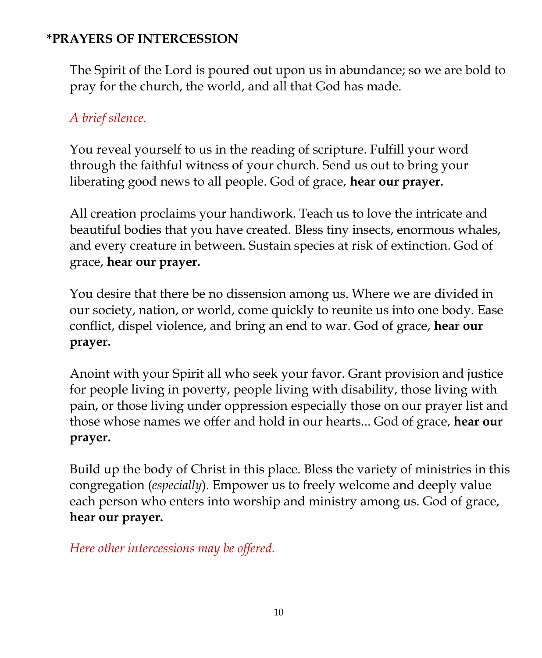## **\*PRAYERS OF INTERCESSION**

The Spirit of the Lord is poured out upon us in abundance; so we are bold to pray for the church, the world, and all that God has made.

## *A brief silence.*

You reveal yourself to us in the reading of scripture. Fulfill your word through the faithful witness of your church. Send us out to bring your liberating good news to all people. God of grace, **hear our prayer.**

All creation proclaims your handiwork. Teach us to love the intricate and beautiful bodies that you have created. Bless tiny insects, enormous whales, and every creature in between. Sustain species at risk of extinction. God of grace, **hear our prayer.**

You desire that there be no dissension among us. Where we are divided in our society, nation, or world, come quickly to reunite us into one body. Ease conflict, dispel violence, and bring an end to war. God of grace, **hear our prayer.**

Anoint with your Spirit all who seek your favor. Grant provision and justice for people living in poverty, people living with disability, those living with pain, or those living under oppression especially those on our prayer list and those whose names we offer and hold in our hearts... God of grace, **hear our prayer.**

Build up the body of Christ in this place. Bless the variety of ministries in this congregation (*especially*). Empower us to freely welcome and deeply value each person who enters into worship and ministry among us. God of grace, **hear our prayer.**

*Here other intercessions may be offered.*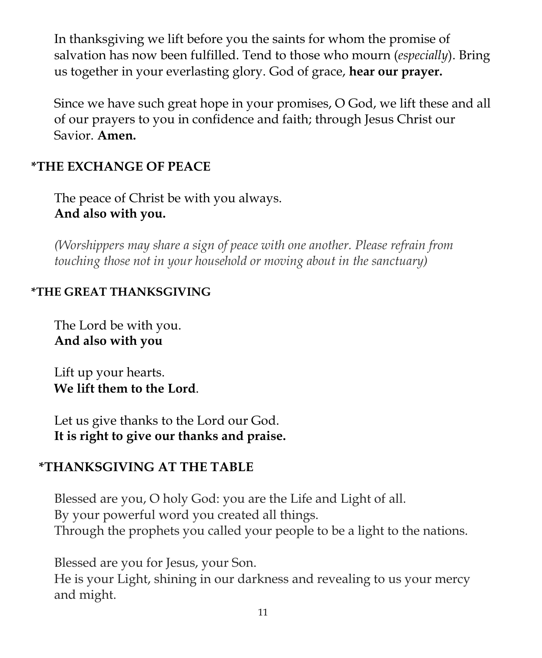In thanksgiving we lift before you the saints for whom the promise of salvation has now been fulfilled. Tend to those who mourn (*especially*). Bring us together in your everlasting glory. God of grace, **hear our prayer.**

Since we have such great hope in your promises, O God, we lift these and all of our prayers to you in confidence and faith; through Jesus Christ our Savior. **Amen.**

## **\*THE EXCHANGE OF PEACE**

The peace of Christ be with you always. **And also with you.**

*(Worshippers may share a sign of peace with one another. Please refrain from touching those not in your household or moving about in the sanctuary)*

#### **\*THE GREAT THANKSGIVING**

The Lord be with you. **And also with you**

Lift up your hearts. **We lift them to the Lord**.

Let us give thanks to the Lord our God. **It is right to give our thanks and praise.**

#### **\*THANKSGIVING AT THE TABLE**

Blessed are you, O holy God: you are the Life and Light of all. By your powerful word you created all things. Through the prophets you called your people to be a light to the nations.

Blessed are you for Jesus, your Son.

He is your Light, shining in our darkness and revealing to us your mercy and might.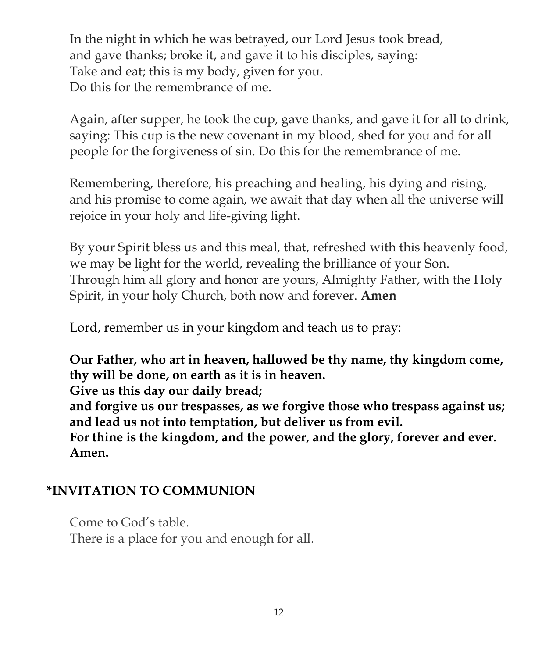In the night in which he was betrayed, our Lord Jesus took bread, and gave thanks; broke it, and gave it to his disciples, saying: Take and eat; this is my body, given for you. Do this for the remembrance of me.

Again, after supper, he took the cup, gave thanks, and gave it for all to drink, saying: This cup is the new covenant in my blood, shed for you and for all people for the forgiveness of sin. Do this for the remembrance of me.

Remembering, therefore, his preaching and healing, his dying and rising, and his promise to come again, we await that day when all the universe will rejoice in your holy and life-giving light.

By your Spirit bless us and this meal, that, refreshed with this heavenly food, we may be light for the world, revealing the brilliance of your Son. Through him all glory and honor are yours, Almighty Father, with the Holy Spirit, in your holy Church, both now and forever. **Amen**

Lord, remember us in your kingdom and teach us to pray:

**Our Father, who art in heaven, hallowed be thy name, thy kingdom come, thy will be done, on earth as it is in heaven.**

**Give us this day our daily bread;**

**and forgive us our trespasses, as we forgive those who trespass against us; and lead us not into temptation, but deliver us from evil.**

**For thine is the kingdom, and the power, and the glory, forever and ever. Amen.**

## **\*INVITATION TO COMMUNION**

Come to God's table. There is a place for you and enough for all.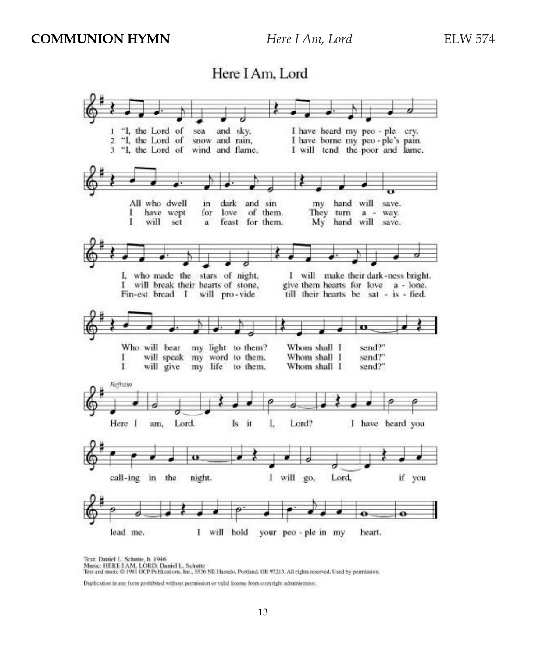## Here I Am, Lord



Text: Daniel L. Schutte, b. 1946 Music: HERE I AM, LORD, Daniel L. Schutte<br>Text and music 0 1981 OCP Publications, Inc., 5536 NE Hassalo, Portland, OR 97213. All rights reserved, Used by permission.

Duplication in any form prohibited without permission or valid license from copyright administrator.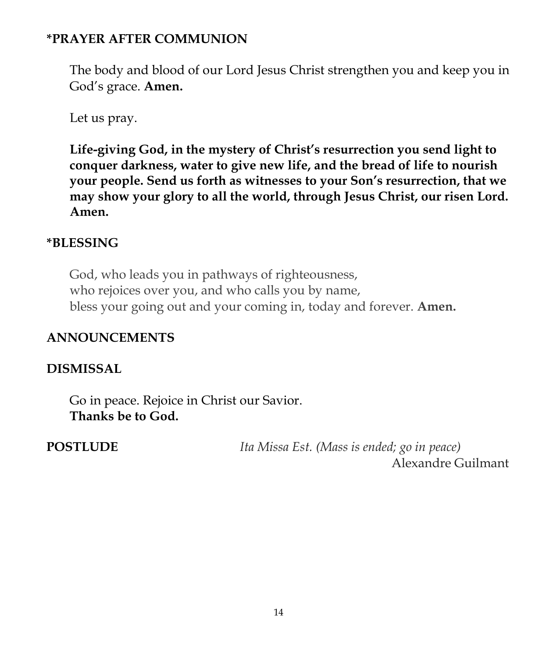## **\*PRAYER AFTER COMMUNION**

The body and blood of our Lord Jesus Christ strengthen you and keep you in God's grace. **Amen.**

Let us pray.

**Life-giving God, in the mystery of Christ's resurrection you send light to conquer darkness, water to give new life, and the bread of life to nourish your people. Send us forth as witnesses to your Son's resurrection, that we may show your glory to all the world, through Jesus Christ, our risen Lord. Amen.**

## **\*BLESSING**

God, who leads you in pathways of righteousness, who rejoices over you, and who calls you by name, bless your going out and your coming in, today and forever. **Amen.**

## **ANNOUNCEMENTS**

## **DISMISSAL**

Go in peace. Rejoice in Christ our Savior. **Thanks be to God.**

**POSTLUDE** *Ita Missa Est. (Mass is ended; go in peace)* Alexandre Guilmant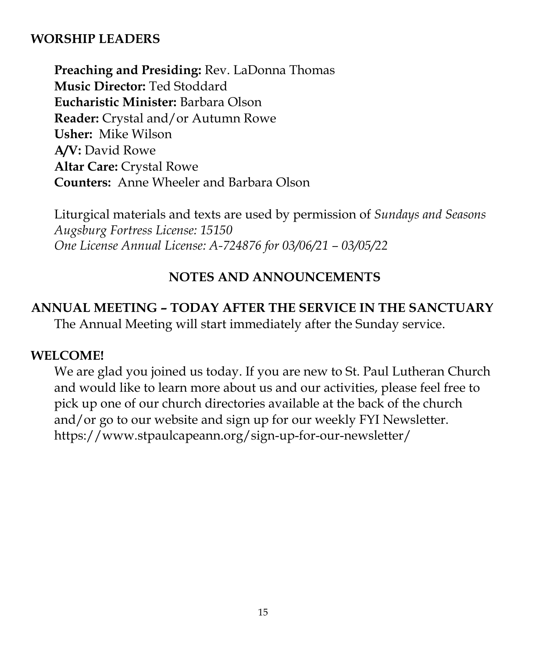### **WORSHIP LEADERS**

**Preaching and Presiding:** Rev. LaDonna Thomas **Music Director:** Ted Stoddard **Eucharistic Minister:** Barbara Olson **Reader:** Crystal and/or Autumn Rowe **Usher:** Mike Wilson **A/V:** David Rowe **Altar Care:** Crystal Rowe **Counters:** Anne Wheeler and Barbara Olson

Liturgical materials and texts are used by permission of *Sundays and Seasons Augsburg Fortress License: 15150 One License Annual License: A-724876 for 03/06/21 – 03/05/22*

### **NOTES AND ANNOUNCEMENTS**

#### **ANNUAL MEETING – TODAY AFTER THE SERVICE IN THE SANCTUARY**

The Annual Meeting will start immediately after the Sunday service.

#### **WELCOME!**

We are glad you joined us today. If you are new to St. Paul Lutheran Church and would like to learn more about us and our activities, please feel free to pick up one of our church directories available at the back of the church and/or go to our website and sign up for our weekly FYI Newsletter. https://www.stpaulcapeann.org/sign-up-for-our-newsletter/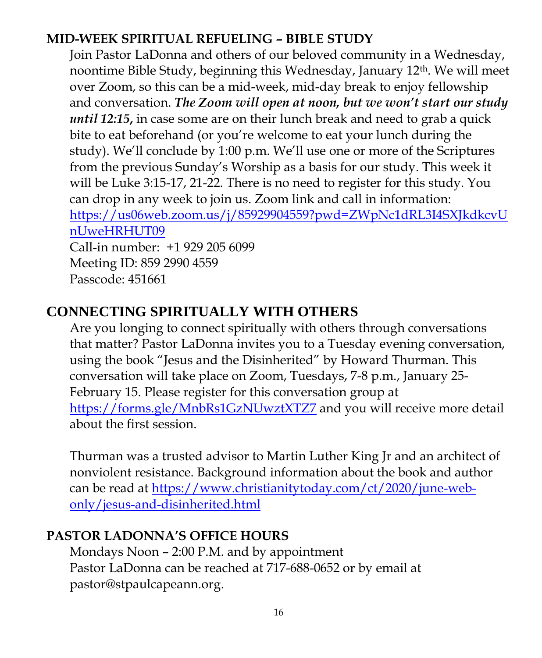# **MID-WEEK SPIRITUAL REFUELING – BIBLE STUDY**

Join Pastor LaDonna and others of our beloved community in a Wednesday, noontime Bible Study, beginning this Wednesday, January 12th. We will meet over Zoom, so this can be a mid-week, mid-day break to enjoy fellowship and conversation. *The Zoom will open at noon, but we won't start our study until 12:15***,** in case some are on their lunch break and need to grab a quick bite to eat beforehand (or you're welcome to eat your lunch during the study). We'll conclude by 1:00 p.m. We'll use one or more of the Scriptures from the previous Sunday's Worship as a basis for our study. This week it will be Luke 3:15-17, 21-22. There is no need to register for this study. You can drop in any week to join us. Zoom link and call in information: [https://us06web.zoom.us/j/85929904559?pwd=ZWpNc1dRL3I4SXJkdkcvU](https://us06web.zoom.us/j/85929904559?pwd=ZWpNc1dRL3I4SXJkdkcvUnUweHRHUT09) [nUweHRHUT09](https://us06web.zoom.us/j/85929904559?pwd=ZWpNc1dRL3I4SXJkdkcvUnUweHRHUT09) Call-in number: +1 929 205 6099 Meeting ID: 859 2990 4559 Passcode: 451661

# **CONNECTING SPIRITUALLY WITH OTHERS**

Are you longing to connect spiritually with others through conversations that matter? Pastor LaDonna invites you to a Tuesday evening conversation, using the book "Jesus and the Disinherited" by Howard Thurman. This conversation will take place on Zoom, Tuesdays, 7-8 p.m., January 25- February 15. Please register for this conversation group at https://forms.gle/MnbRs1GzNUwztXTZ7 and you will receive more detail about the first session.

Thurman was a trusted advisor to Martin Luther King Jr and an architect of nonviolent resistance. Background information about the book and author can be read at [https://www.christianitytoday.com/ct/2020/june-web](https://www.christianitytoday.com/ct/2020/june-web-only/jesus-and-disinherited.html)[only/jesus-and-disinherited.html](https://www.christianitytoday.com/ct/2020/june-web-only/jesus-and-disinherited.html)

## **PASTOR LADONNA'S OFFICE HOURS**

Mondays Noon – 2:00 P.M. and by appointment Pastor LaDonna can be reached at 717-688-0652 or by email at pastor@stpaulcapeann.org.